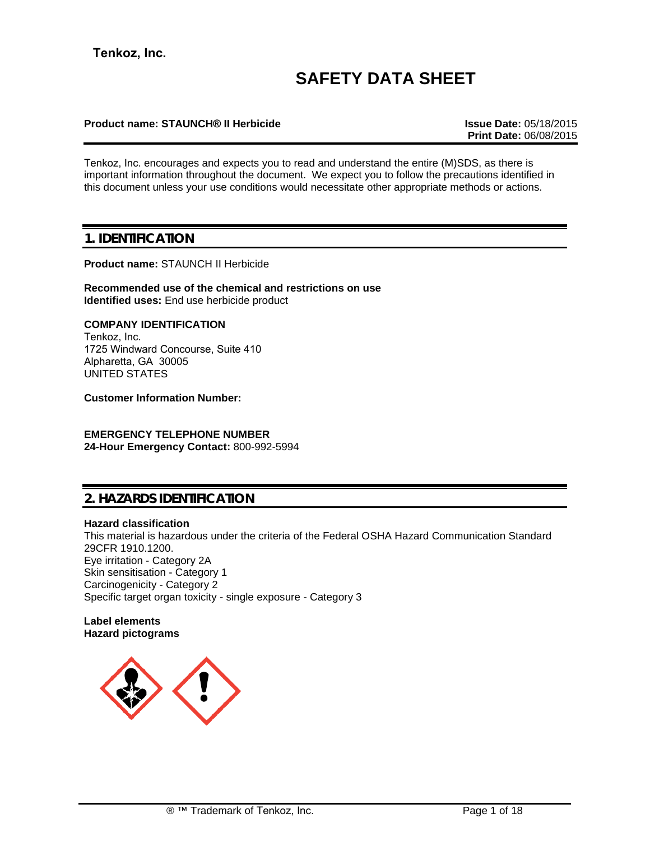# **SAFETY DATA SHEET**

### **Product name: STAUNCH® II Herbicide Issue Date:** 05/18/2015

**Print Date:** 06/08/2015

Tenkoz, Inc. encourages and expects you to read and understand the entire (M)SDS, as there is important information throughout the document. We expect you to follow the precautions identified in this document unless your use conditions would necessitate other appropriate methods or actions.

# **1. IDENTIFICATION**

**Product name:** STAUNCH II Herbicide

**Recommended use of the chemical and restrictions on use Identified uses:** End use herbicide product

#### **COMPANY IDENTIFICATION**

Tenkoz, Inc. 1725 Windward Concourse, Suite 410 Alpharetta, GA 30005 UNITED STATES

**Customer Information Number:**

### **EMERGENCY TELEPHONE NUMBER 24-Hour Emergency Contact:** 800-992-5994

# **2. HAZARDS IDENTIFICATION**

#### **Hazard classification**

This material is hazardous under the criteria of the Federal OSHA Hazard Communication Standard 29CFR 1910.1200. Eye irritation - Category 2A Skin sensitisation - Category 1 Carcinogenicity - Category 2 Specific target organ toxicity - single exposure - Category 3

#### **Label elements Hazard pictograms**

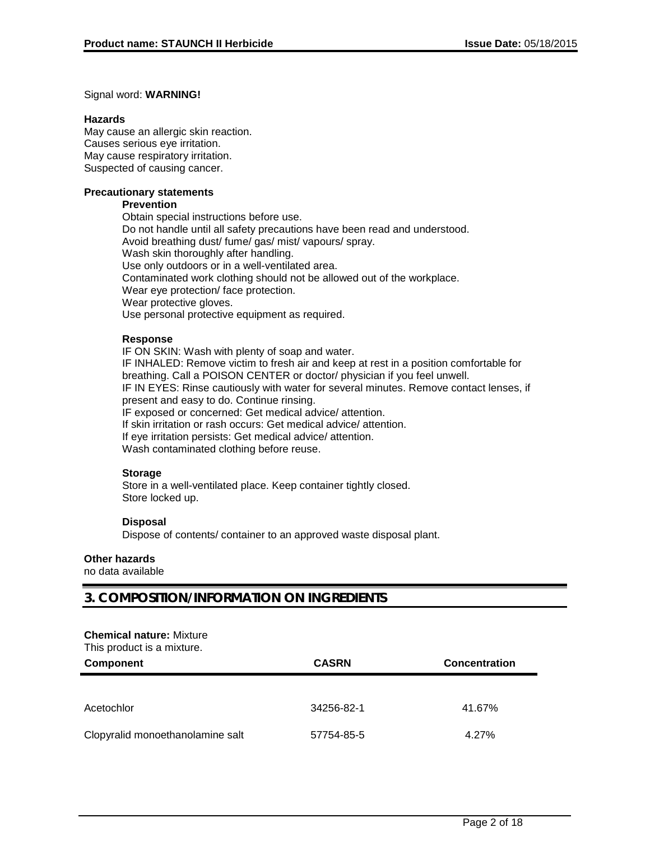#### Signal word: **WARNING!**

#### **Hazards**

May cause an allergic skin reaction. Causes serious eye irritation. May cause respiratory irritation. Suspected of causing cancer.

#### **Precautionary statements**

#### **Prevention**

Obtain special instructions before use. Do not handle until all safety precautions have been read and understood. Avoid breathing dust/ fume/ gas/ mist/ vapours/ spray. Wash skin thoroughly after handling. Use only outdoors or in a well-ventilated area. Contaminated work clothing should not be allowed out of the workplace. Wear eye protection/ face protection. Wear protective gloves. Use personal protective equipment as required.

### **Response**

IF ON SKIN: Wash with plenty of soap and water. IF INHALED: Remove victim to fresh air and keep at rest in a position comfortable for breathing. Call a POISON CENTER or doctor/ physician if you feel unwell. IF IN EYES: Rinse cautiously with water for several minutes. Remove contact lenses, if present and easy to do. Continue rinsing. IF exposed or concerned: Get medical advice/ attention. If skin irritation or rash occurs: Get medical advice/ attention. If eye irritation persists: Get medical advice/ attention. Wash contaminated clothing before reuse.

### **Storage**

Store in a well-ventilated place. Keep container tightly closed. Store locked up.

#### **Disposal**

Dispose of contents/ container to an approved waste disposal plant.

#### **Other hazards**

no data available

### **3. COMPOSITION/INFORMATION ON INGREDIENTS**

#### **Chemical nature:** Mixture

This product is a mixture.

| <b>Component</b>                 | <b>CASRN</b> | <b>Concentration</b> |
|----------------------------------|--------------|----------------------|
|                                  |              |                      |
| Acetochlor                       | 34256-82-1   | 41.67%               |
| Clopyralid monoethanolamine salt | 57754-85-5   | 4.27%                |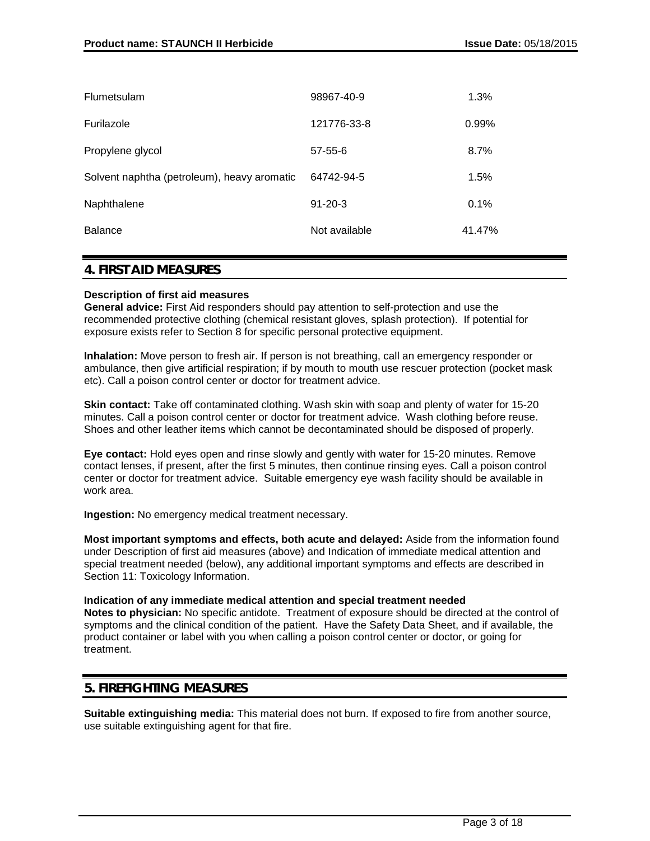| <b>Flumetsulam</b>                          | 98967-40-9    | 1.3%   |
|---------------------------------------------|---------------|--------|
| Furilazole                                  | 121776-33-8   | 0.99%  |
| Propylene glycol                            | $57 - 55 - 6$ | 8.7%   |
| Solvent naphtha (petroleum), heavy aromatic | 64742-94-5    | 1.5%   |
| Naphthalene                                 | $91 - 20 - 3$ | 0.1%   |
| <b>Balance</b>                              | Not available | 41.47% |
|                                             |               |        |

### **4. FIRST AID MEASURES**

#### **Description of first aid measures**

**General advice:** First Aid responders should pay attention to self-protection and use the recommended protective clothing (chemical resistant gloves, splash protection). If potential for exposure exists refer to Section 8 for specific personal protective equipment.

**Inhalation:** Move person to fresh air. If person is not breathing, call an emergency responder or ambulance, then give artificial respiration; if by mouth to mouth use rescuer protection (pocket mask etc). Call a poison control center or doctor for treatment advice.

**Skin contact:** Take off contaminated clothing. Wash skin with soap and plenty of water for 15-20 minutes. Call a poison control center or doctor for treatment advice. Wash clothing before reuse. Shoes and other leather items which cannot be decontaminated should be disposed of properly.

**Eye contact:** Hold eyes open and rinse slowly and gently with water for 15-20 minutes. Remove contact lenses, if present, after the first 5 minutes, then continue rinsing eyes. Call a poison control center or doctor for treatment advice. Suitable emergency eye wash facility should be available in work area.

**Ingestion:** No emergency medical treatment necessary.

**Most important symptoms and effects, both acute and delayed:** Aside from the information found under Description of first aid measures (above) and Indication of immediate medical attention and special treatment needed (below), any additional important symptoms and effects are described in Section 11: Toxicology Information.

**Indication of any immediate medical attention and special treatment needed Notes to physician:** No specific antidote. Treatment of exposure should be directed at the control of symptoms and the clinical condition of the patient. Have the Safety Data Sheet, and if available, the product container or label with you when calling a poison control center or doctor, or going for treatment.

### **5. FIREFIGHTING MEASURES**

**Suitable extinguishing media:** This material does not burn. If exposed to fire from another source, use suitable extinguishing agent for that fire.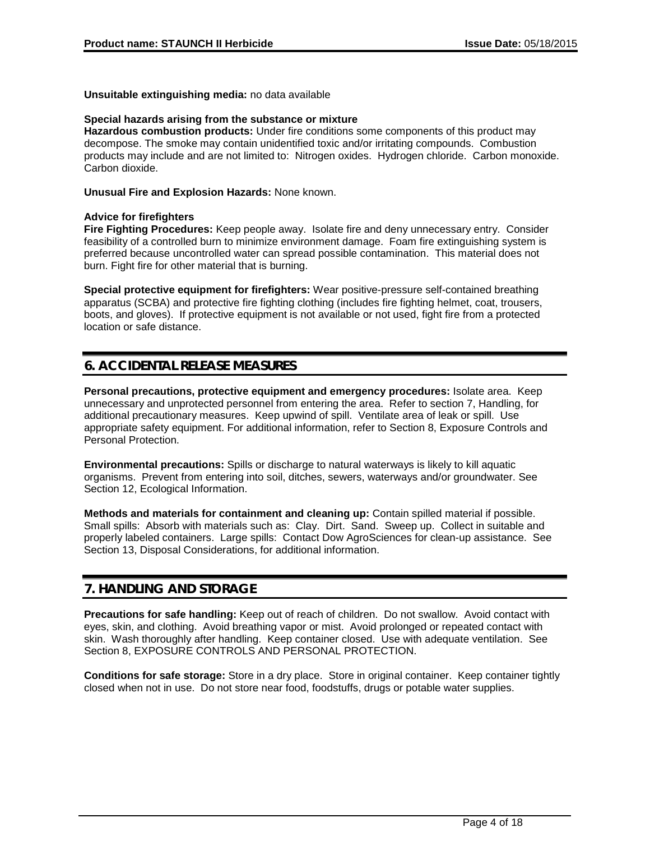**Unsuitable extinguishing media:** no data available

### **Special hazards arising from the substance or mixture**

**Hazardous combustion products:** Under fire conditions some components of this product may decompose. The smoke may contain unidentified toxic and/or irritating compounds. Combustion products may include and are not limited to: Nitrogen oxides. Hydrogen chloride. Carbon monoxide. Carbon dioxide.

**Unusual Fire and Explosion Hazards:** None known.

### **Advice for firefighters**

**Fire Fighting Procedures:** Keep people away. Isolate fire and deny unnecessary entry. Consider feasibility of a controlled burn to minimize environment damage. Foam fire extinguishing system is preferred because uncontrolled water can spread possible contamination. This material does not burn. Fight fire for other material that is burning.

**Special protective equipment for firefighters:** Wear positive-pressure self-contained breathing apparatus (SCBA) and protective fire fighting clothing (includes fire fighting helmet, coat, trousers, boots, and gloves). If protective equipment is not available or not used, fight fire from a protected location or safe distance.

# **6. ACCIDENTAL RELEASE MEASURES**

**Personal precautions, protective equipment and emergency procedures:** Isolate area. Keep unnecessary and unprotected personnel from entering the area. Refer to section 7, Handling, for additional precautionary measures. Keep upwind of spill. Ventilate area of leak or spill. Use appropriate safety equipment. For additional information, refer to Section 8, Exposure Controls and Personal Protection.

**Environmental precautions:** Spills or discharge to natural waterways is likely to kill aquatic organisms. Prevent from entering into soil, ditches, sewers, waterways and/or groundwater. See Section 12, Ecological Information.

**Methods and materials for containment and cleaning up:** Contain spilled material if possible. Small spills: Absorb with materials such as: Clay. Dirt. Sand. Sweep up. Collect in suitable and properly labeled containers. Large spills: Contact Dow AgroSciences for clean-up assistance. See Section 13, Disposal Considerations, for additional information.

# **7. HANDLING AND STORAGE**

**Precautions for safe handling:** Keep out of reach of children. Do not swallow. Avoid contact with eyes, skin, and clothing. Avoid breathing vapor or mist. Avoid prolonged or repeated contact with skin. Wash thoroughly after handling. Keep container closed. Use with adequate ventilation. See Section 8, EXPOSURE CONTROLS AND PERSONAL PROTECTION.

**Conditions for safe storage:** Store in a dry place. Store in original container. Keep container tightly closed when not in use. Do not store near food, foodstuffs, drugs or potable water supplies.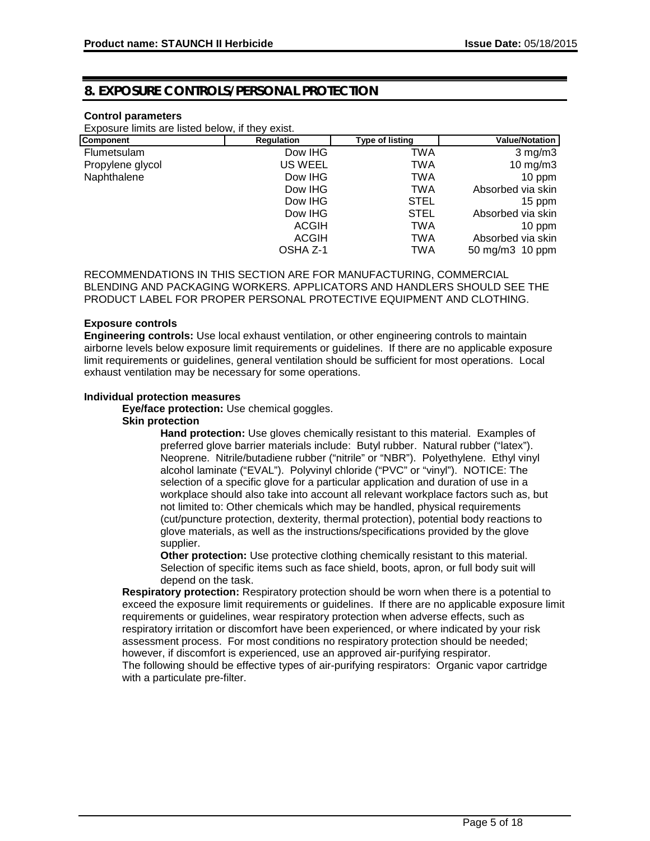# **8. EXPOSURE CONTROLS/PERSONAL PROTECTION**

### **Control parameters**

Exposure limits are listed below, if they exist.

| Component          | <b>Regulation</b> | <b>Type of listing</b> | <b>Value/Notation</b> |
|--------------------|-------------------|------------------------|-----------------------|
| <b>Flumetsulam</b> | Dow IHG           | TWA                    | $3$ mg/m $3$          |
| Propylene glycol   | US WEEL           | TWA                    | $10 \text{ mg/m}$     |
| Naphthalene        | Dow IHG           | TWA                    | 10 ppm                |
|                    | Dow IHG           | TWA                    | Absorbed via skin     |
|                    | Dow IHG           | <b>STEL</b>            | 15 ppm                |
|                    | Dow IHG           | <b>STEL</b>            | Absorbed via skin     |
|                    | ACGIH             | <b>TWA</b>             | 10 ppm                |
|                    | <b>ACGIH</b>      | <b>TWA</b>             | Absorbed via skin     |
|                    | OSHA Z-1          | TWA                    | 50 mg/m3 10 ppm       |

RECOMMENDATIONS IN THIS SECTION ARE FOR MANUFACTURING, COMMERCIAL BLENDING AND PACKAGING WORKERS. APPLICATORS AND HANDLERS SHOULD SEE THE PRODUCT LABEL FOR PROPER PERSONAL PROTECTIVE EQUIPMENT AND CLOTHING.

#### **Exposure controls**

**Engineering controls:** Use local exhaust ventilation, or other engineering controls to maintain airborne levels below exposure limit requirements or guidelines. If there are no applicable exposure limit requirements or guidelines, general ventilation should be sufficient for most operations. Local exhaust ventilation may be necessary for some operations.

#### **Individual protection measures**

**Eye/face protection:** Use chemical goggles.

#### **Skin protection**

**Hand protection:** Use gloves chemically resistant to this material. Examples of preferred glove barrier materials include: Butyl rubber. Natural rubber ("latex"). Neoprene. Nitrile/butadiene rubber ("nitrile" or "NBR"). Polyethylene. Ethyl vinyl alcohol laminate ("EVAL"). Polyvinyl chloride ("PVC" or "vinyl"). NOTICE: The selection of a specific glove for a particular application and duration of use in a workplace should also take into account all relevant workplace factors such as, but not limited to: Other chemicals which may be handled, physical requirements (cut/puncture protection, dexterity, thermal protection), potential body reactions to glove materials, as well as the instructions/specifications provided by the glove supplier.

**Other protection:** Use protective clothing chemically resistant to this material. Selection of specific items such as face shield, boots, apron, or full body suit will depend on the task.

**Respiratory protection:** Respiratory protection should be worn when there is a potential to exceed the exposure limit requirements or guidelines. If there are no applicable exposure limit requirements or guidelines, wear respiratory protection when adverse effects, such as respiratory irritation or discomfort have been experienced, or where indicated by your risk assessment process. For most conditions no respiratory protection should be needed; however, if discomfort is experienced, use an approved air-purifying respirator. The following should be effective types of air-purifying respirators: Organic vapor cartridge with a particulate pre-filter.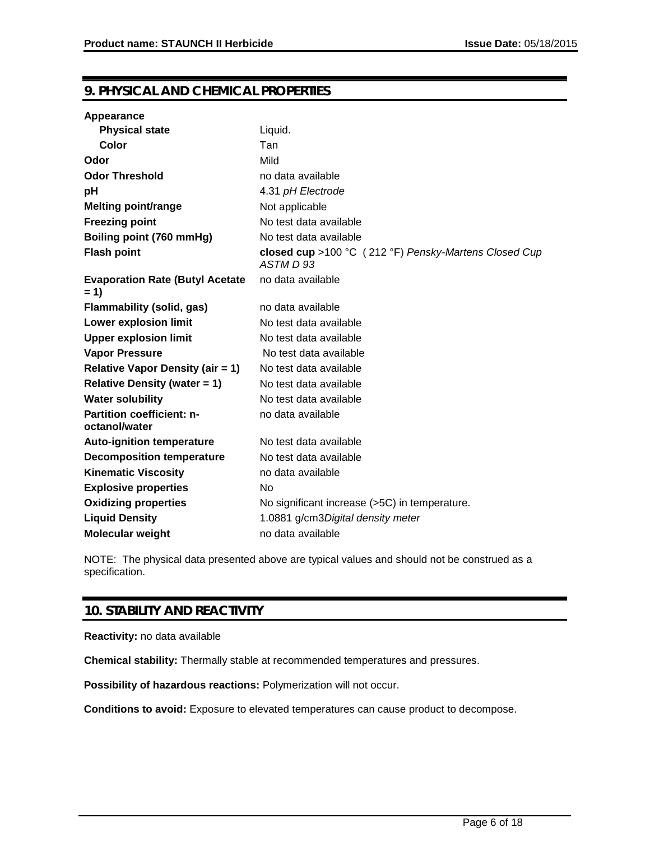# **9. PHYSICAL AND CHEMICAL PROPERTIES**

| Appearance                                        |                                                                   |
|---------------------------------------------------|-------------------------------------------------------------------|
| <b>Physical state</b>                             | Liquid.                                                           |
| Color                                             | Tan                                                               |
| Odor                                              | Mild                                                              |
| <b>Odor Threshold</b>                             | no data available                                                 |
| рH                                                | 4.31 pH Electrode                                                 |
| <b>Melting point/range</b>                        | Not applicable                                                    |
| <b>Freezing point</b>                             | No test data available                                            |
| Boiling point (760 mmHg)                          | No test data available                                            |
| <b>Flash point</b>                                | closed cup >100 °C (212 °F) Pensky-Martens Closed Cup<br>ASTM D93 |
| <b>Evaporation Rate (Butyl Acetate</b><br>$= 1$   | no data available                                                 |
| Flammability (solid, gas)                         | no data available                                                 |
| <b>Lower explosion limit</b>                      | No test data available                                            |
| <b>Upper explosion limit</b>                      | No test data available                                            |
| <b>Vapor Pressure</b>                             | No test data available                                            |
| <b>Relative Vapor Density (air = 1)</b>           | No test data available                                            |
| <b>Relative Density (water = 1)</b>               | No test data available                                            |
| <b>Water solubility</b>                           | No test data available                                            |
| <b>Partition coefficient: n-</b><br>octanol/water | no data available                                                 |
| <b>Auto-ignition temperature</b>                  | No test data available                                            |
| <b>Decomposition temperature</b>                  | No test data available                                            |
| <b>Kinematic Viscosity</b>                        | no data available                                                 |
| <b>Explosive properties</b>                       | No                                                                |
| <b>Oxidizing properties</b>                       | No significant increase (>5C) in temperature.                     |
| <b>Liquid Density</b>                             | 1.0881 g/cm3Digital density meter                                 |
| <b>Molecular weight</b>                           | no data available                                                 |

NOTE: The physical data presented above are typical values and should not be construed as a specification.

# **10. STABILITY AND REACTIVITY**

**Reactivity:** no data available

**Chemical stability:** Thermally stable at recommended temperatures and pressures.

**Possibility of hazardous reactions:** Polymerization will not occur.

**Conditions to avoid:** Exposure to elevated temperatures can cause product to decompose.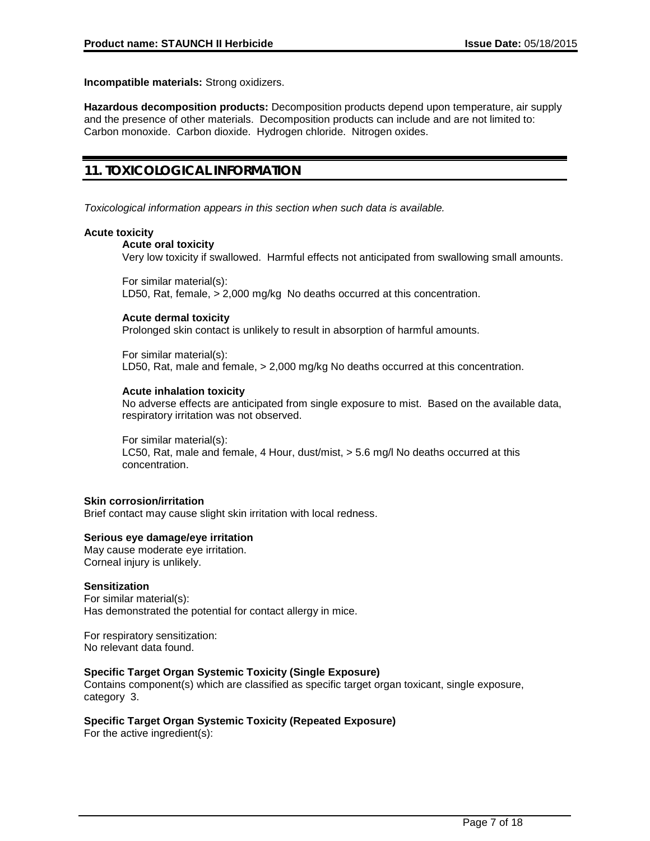**Incompatible materials:** Strong oxidizers.

**Hazardous decomposition products:** Decomposition products depend upon temperature, air supply and the presence of other materials. Decomposition products can include and are not limited to: Carbon monoxide. Carbon dioxide. Hydrogen chloride. Nitrogen oxides.

# **11. TOXICOLOGICAL INFORMATION**

*Toxicological information appears in this section when such data is available.*

#### **Acute toxicity**

#### **Acute oral toxicity**

Very low toxicity if swallowed. Harmful effects not anticipated from swallowing small amounts.

For similar material(s):

LD50, Rat, female, > 2,000 mg/kg No deaths occurred at this concentration.

#### **Acute dermal toxicity**

Prolonged skin contact is unlikely to result in absorption of harmful amounts.

For similar material(s): LD50, Rat, male and female, > 2,000 mg/kg No deaths occurred at this concentration.

#### **Acute inhalation toxicity**

No adverse effects are anticipated from single exposure to mist. Based on the available data, respiratory irritation was not observed.

For similar material(s): LC50, Rat, male and female, 4 Hour, dust/mist, > 5.6 mg/l No deaths occurred at this concentration.

#### **Skin corrosion/irritation**

Brief contact may cause slight skin irritation with local redness.

#### **Serious eye damage/eye irritation**

May cause moderate eye irritation. Corneal injury is unlikely.

#### **Sensitization**

For similar material(s): Has demonstrated the potential for contact allergy in mice.

For respiratory sensitization: No relevant data found.

#### **Specific Target Organ Systemic Toxicity (Single Exposure)**

Contains component(s) which are classified as specific target organ toxicant, single exposure, category 3.

### **Specific Target Organ Systemic Toxicity (Repeated Exposure)**

For the active ingredient(s):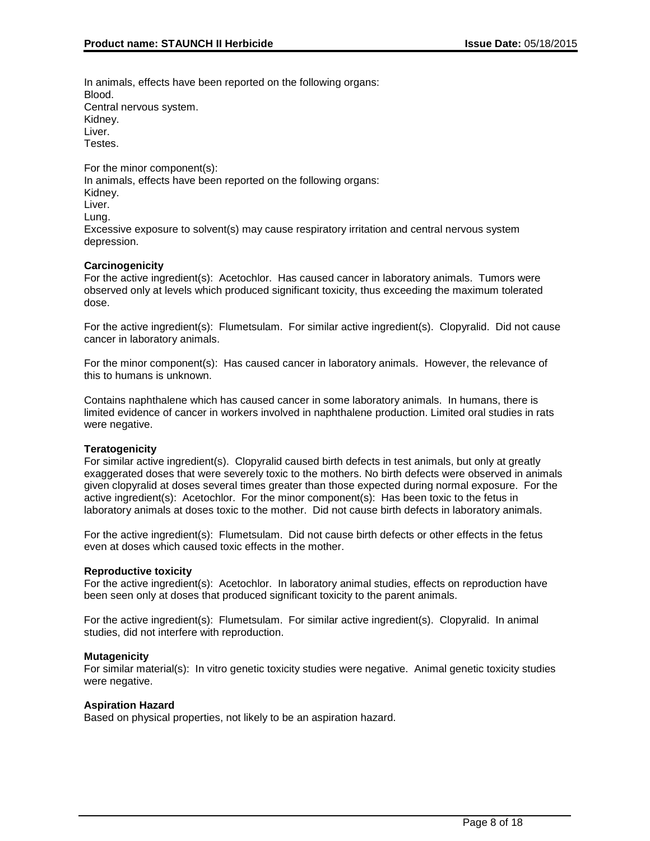In animals, effects have been reported on the following organs: Blood. Central nervous system. Kidney. Liver. Testes.

For the minor component(s): In animals, effects have been reported on the following organs: Kidney. Liver. Lung. Excessive exposure to solvent(s) may cause respiratory irritation and central nervous system depression.

### **Carcinogenicity**

For the active ingredient(s): Acetochlor. Has caused cancer in laboratory animals. Tumors were observed only at levels which produced significant toxicity, thus exceeding the maximum tolerated dose.

For the active ingredient(s): Flumetsulam. For similar active ingredient(s). Clopyralid. Did not cause cancer in laboratory animals.

For the minor component(s): Has caused cancer in laboratory animals. However, the relevance of this to humans is unknown.

Contains naphthalene which has caused cancer in some laboratory animals. In humans, there is limited evidence of cancer in workers involved in naphthalene production. Limited oral studies in rats were negative.

#### **Teratogenicity**

For similar active ingredient(s). Clopyralid caused birth defects in test animals, but only at greatly exaggerated doses that were severely toxic to the mothers. No birth defects were observed in animals given clopyralid at doses several times greater than those expected during normal exposure. For the active ingredient(s): Acetochlor. For the minor component(s): Has been toxic to the fetus in laboratory animals at doses toxic to the mother. Did not cause birth defects in laboratory animals.

For the active ingredient(s): Flumetsulam. Did not cause birth defects or other effects in the fetus even at doses which caused toxic effects in the mother.

#### **Reproductive toxicity**

For the active ingredient(s): Acetochlor. In laboratory animal studies, effects on reproduction have been seen only at doses that produced significant toxicity to the parent animals.

For the active ingredient(s): Flumetsulam. For similar active ingredient(s). Clopyralid. In animal studies, did not interfere with reproduction.

#### **Mutagenicity**

For similar material(s): In vitro genetic toxicity studies were negative. Animal genetic toxicity studies were negative.

#### **Aspiration Hazard**

Based on physical properties, not likely to be an aspiration hazard.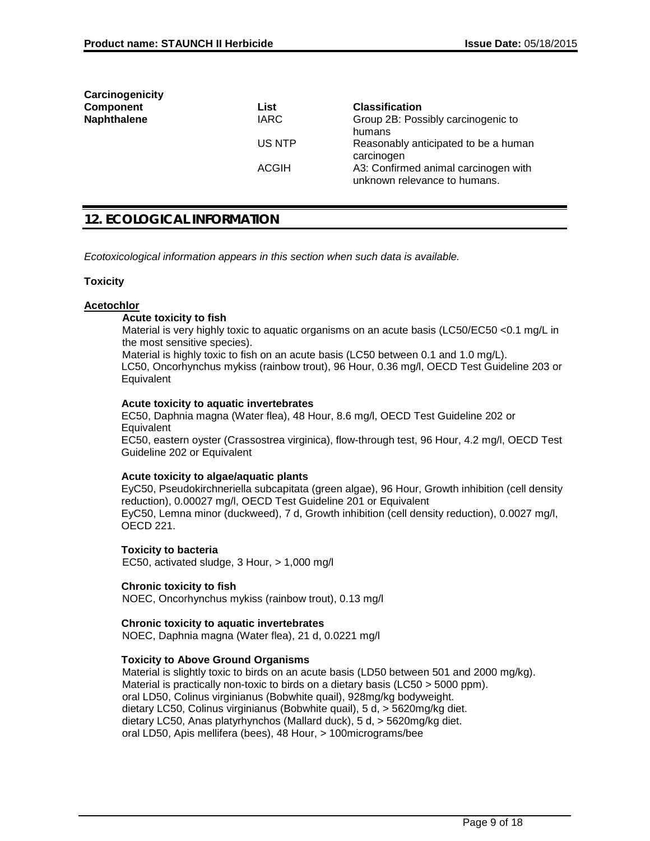| Carcinogenicity    |              |                                                                      |
|--------------------|--------------|----------------------------------------------------------------------|
| <b>Component</b>   | List         | <b>Classification</b>                                                |
| <b>Naphthalene</b> | <b>IARC</b>  | Group 2B: Possibly carcinogenic to<br>humans                         |
|                    | US NTP       | Reasonably anticipated to be a human<br>carcinogen                   |
|                    | <b>ACGIH</b> | A3: Confirmed animal carcinogen with<br>unknown relevance to humans. |

# **12. ECOLOGICAL INFORMATION**

*Ecotoxicological information appears in this section when such data is available.*

#### **Toxicity**

#### **Acetochlor**

#### **Acute toxicity to fish**

Material is very highly toxic to aguatic organisms on an acute basis (LC50/EC50 <0.1 mg/L in the most sensitive species).

Material is highly toxic to fish on an acute basis (LC50 between 0.1 and 1.0 mg/L). LC50, Oncorhynchus mykiss (rainbow trout), 96 Hour, 0.36 mg/l, OECD Test Guideline 203 or **Equivalent** 

#### **Acute toxicity to aquatic invertebrates**

EC50, Daphnia magna (Water flea), 48 Hour, 8.6 mg/l, OECD Test Guideline 202 or **Equivalent** 

EC50, eastern oyster (Crassostrea virginica), flow-through test, 96 Hour, 4.2 mg/l, OECD Test Guideline 202 or Equivalent

#### **Acute toxicity to algae/aquatic plants**

EyC50, Pseudokirchneriella subcapitata (green algae), 96 Hour, Growth inhibition (cell density reduction), 0.00027 mg/l, OECD Test Guideline 201 or Equivalent EyC50, Lemna minor (duckweed), 7 d, Growth inhibition (cell density reduction), 0.0027 mg/l, OECD 221.

# **Toxicity to bacteria**

EC50, activated sludge, 3 Hour, > 1,000 mg/l

#### **Chronic toxicity to fish**

NOEC, Oncorhynchus mykiss (rainbow trout), 0.13 mg/l

#### **Chronic toxicity to aquatic invertebrates**

NOEC, Daphnia magna (Water flea), 21 d, 0.0221 mg/l

### **Toxicity to Above Ground Organisms**

Material is slightly toxic to birds on an acute basis (LD50 between 501 and 2000 mg/kg). Material is practically non-toxic to birds on a dietary basis (LC50 > 5000 ppm). oral LD50, Colinus virginianus (Bobwhite quail), 928mg/kg bodyweight. dietary LC50, Colinus virginianus (Bobwhite quail), 5 d, > 5620mg/kg diet. dietary LC50, Anas platyrhynchos (Mallard duck), 5 d, > 5620mg/kg diet. oral LD50, Apis mellifera (bees), 48 Hour, > 100micrograms/bee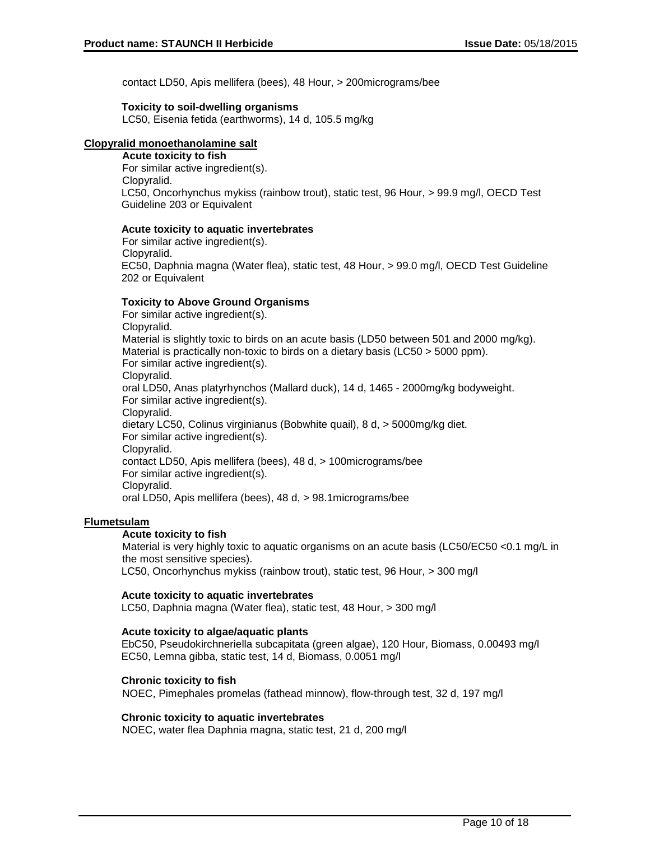contact LD50, Apis mellifera (bees), 48 Hour, > 200micrograms/bee

#### **Toxicity to soil-dwelling organisms**

LC50, Eisenia fetida (earthworms), 14 d, 105.5 mg/kg

### **Clopyralid monoethanolamine salt**

#### **Acute toxicity to fish**

For similar active ingredient(s). Clopyralid. LC50, Oncorhynchus mykiss (rainbow trout), static test, 96 Hour, > 99.9 mg/l, OECD Test Guideline 203 or Equivalent

#### **Acute toxicity to aquatic invertebrates**

For similar active ingredient(s). Clopyralid. EC50, Daphnia magna (Water flea), static test, 48 Hour, > 99.0 mg/l, OECD Test Guideline 202 or Equivalent

#### **Toxicity to Above Ground Organisms**

For similar active ingredient(s). Clopyralid. Material is slightly toxic to birds on an acute basis (LD50 between 501 and 2000 mg/kg). Material is practically non-toxic to birds on a dietary basis (LC50 > 5000 ppm). For similar active ingredient(s). Clopyralid. oral LD50, Anas platyrhynchos (Mallard duck), 14 d, 1465 - 2000mg/kg bodyweight. For similar active ingredient(s). Clopyralid. dietary LC50, Colinus virginianus (Bobwhite quail), 8 d, > 5000mg/kg diet. For similar active ingredient(s). Clopyralid. contact LD50, Apis mellifera (bees), 48 d, > 100micrograms/bee For similar active ingredient(s). Clopyralid. oral LD50, Apis mellifera (bees), 48 d, > 98.1micrograms/bee

#### **Flumetsulam**

#### **Acute toxicity to fish**

Material is very highly toxic to aquatic organisms on an acute basis (LC50/EC50 <0.1 mg/L in the most sensitive species).

LC50, Oncorhynchus mykiss (rainbow trout), static test, 96 Hour, > 300 mg/l

### **Acute toxicity to aquatic invertebrates**

LC50, Daphnia magna (Water flea), static test, 48 Hour, > 300 mg/l

#### **Acute toxicity to algae/aquatic plants**

EbC50, Pseudokirchneriella subcapitata (green algae), 120 Hour, Biomass, 0.00493 mg/l EC50, Lemna gibba, static test, 14 d, Biomass, 0.0051 mg/l

#### **Chronic toxicity to fish**

NOEC, Pimephales promelas (fathead minnow), flow-through test, 32 d, 197 mg/l

#### **Chronic toxicity to aquatic invertebrates**

NOEC, water flea Daphnia magna, static test, 21 d, 200 mg/l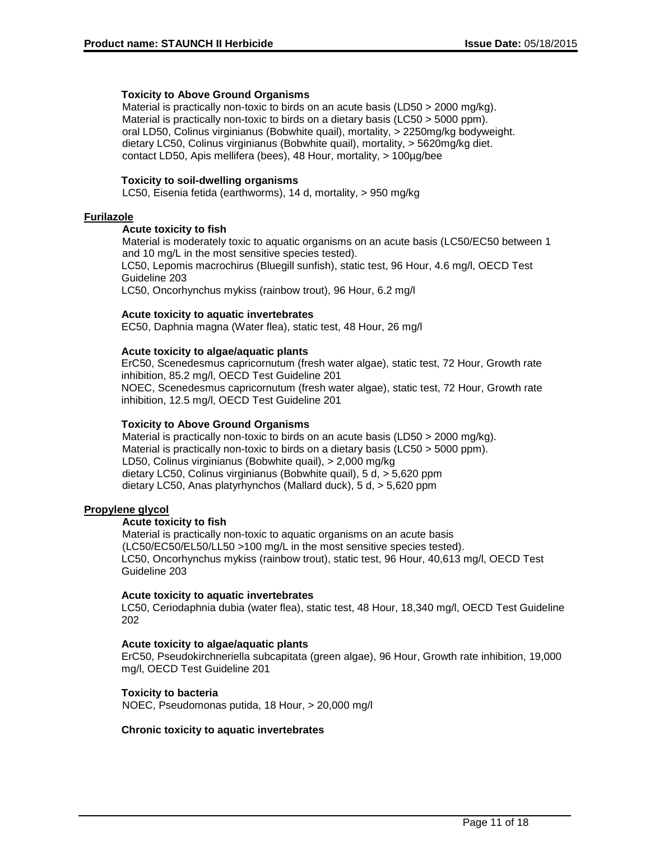#### **Toxicity to Above Ground Organisms**

Material is practically non-toxic to birds on an acute basis (LD50 > 2000 mg/kg). Material is practically non-toxic to birds on a dietary basis (LC50 > 5000 ppm). oral LD50, Colinus virginianus (Bobwhite quail), mortality, > 2250mg/kg bodyweight. dietary LC50, Colinus virginianus (Bobwhite quail), mortality, > 5620mg/kg diet. contact LD50, Apis mellifera (bees), 48 Hour, mortality, > 100µg/bee

#### **Toxicity to soil-dwelling organisms**

LC50, Eisenia fetida (earthworms), 14 d, mortality, > 950 mg/kg

### **Furilazole**

#### **Acute toxicity to fish**

Material is moderately toxic to aquatic organisms on an acute basis (LC50/EC50 between 1 and 10 mg/L in the most sensitive species tested). LC50, Lepomis macrochirus (Bluegill sunfish), static test, 96 Hour, 4.6 mg/l, OECD Test

Guideline 203

LC50, Oncorhynchus mykiss (rainbow trout), 96 Hour, 6.2 mg/l

#### **Acute toxicity to aquatic invertebrates**

EC50, Daphnia magna (Water flea), static test, 48 Hour, 26 mg/l

#### **Acute toxicity to algae/aquatic plants**

ErC50, Scenedesmus capricornutum (fresh water algae), static test, 72 Hour, Growth rate inhibition, 85.2 mg/l, OECD Test Guideline 201 NOEC, Scenedesmus capricornutum (fresh water algae), static test, 72 Hour, Growth rate inhibition, 12.5 mg/l, OECD Test Guideline 201

#### **Toxicity to Above Ground Organisms**

Material is practically non-toxic to birds on an acute basis (LD50 > 2000 mg/kg). Material is practically non-toxic to birds on a dietary basis (LC50 > 5000 ppm). LD50, Colinus virginianus (Bobwhite quail), > 2,000 mg/kg dietary LC50, Colinus virginianus (Bobwhite quail), 5 d, > 5,620 ppm dietary LC50, Anas platyrhynchos (Mallard duck), 5 d, > 5,620 ppm

### **Propylene glycol**

#### **Acute toxicity to fish**

Material is practically non-toxic to aquatic organisms on an acute basis (LC50/EC50/EL50/LL50 >100 mg/L in the most sensitive species tested). LC50, Oncorhynchus mykiss (rainbow trout), static test, 96 Hour, 40,613 mg/l, OECD Test Guideline 203

### **Acute toxicity to aquatic invertebrates**

LC50, Ceriodaphnia dubia (water flea), static test, 48 Hour, 18,340 mg/l, OECD Test Guideline 202

#### **Acute toxicity to algae/aquatic plants**

ErC50, Pseudokirchneriella subcapitata (green algae), 96 Hour, Growth rate inhibition, 19,000 mg/l, OECD Test Guideline 201

#### **Toxicity to bacteria**

NOEC, Pseudomonas putida, 18 Hour, > 20,000 mg/l

#### **Chronic toxicity to aquatic invertebrates**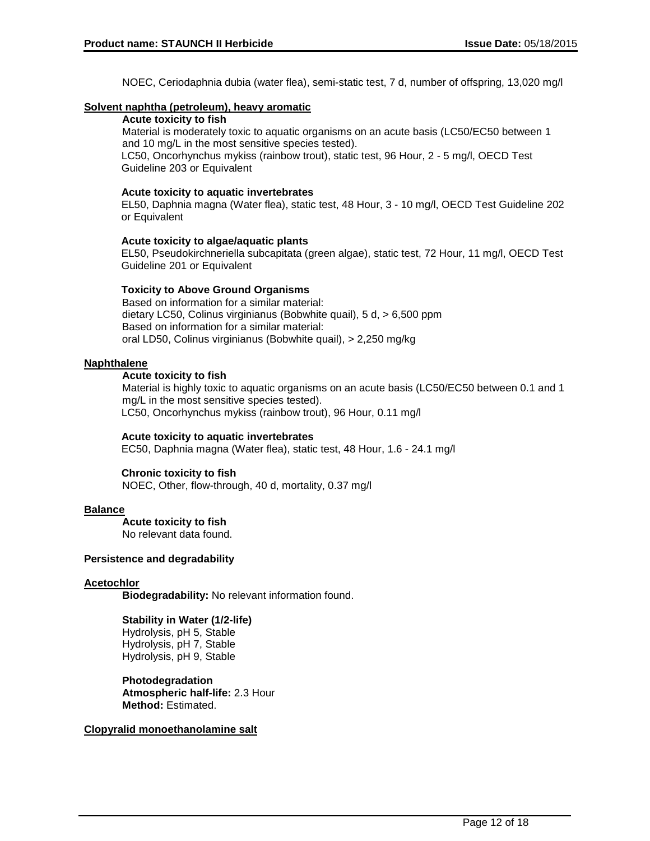NOEC, Ceriodaphnia dubia (water flea), semi-static test, 7 d, number of offspring, 13,020 mg/l

#### **Solvent naphtha (petroleum), heavy aromatic**

### **Acute toxicity to fish**

Material is moderately toxic to aquatic organisms on an acute basis (LC50/EC50 between 1 and 10 mg/L in the most sensitive species tested).

LC50, Oncorhynchus mykiss (rainbow trout), static test, 96 Hour, 2 - 5 mg/l, OECD Test Guideline 203 or Equivalent

### **Acute toxicity to aquatic invertebrates**

EL50, Daphnia magna (Water flea), static test, 48 Hour, 3 - 10 mg/l, OECD Test Guideline 202 or Equivalent

### **Acute toxicity to algae/aquatic plants**

EL50, Pseudokirchneriella subcapitata (green algae), static test, 72 Hour, 11 mg/l, OECD Test Guideline 201 or Equivalent

### **Toxicity to Above Ground Organisms**

Based on information for a similar material: dietary LC50, Colinus virginianus (Bobwhite quail), 5 d, > 6,500 ppm Based on information for a similar material: oral LD50, Colinus virginianus (Bobwhite quail), > 2,250 mg/kg

### **Naphthalene**

### **Acute toxicity to fish**

Material is highly toxic to aquatic organisms on an acute basis (LC50/EC50 between 0.1 and 1 mg/L in the most sensitive species tested). LC50, Oncorhynchus mykiss (rainbow trout), 96 Hour, 0.11 mg/l

#### **Acute toxicity to aquatic invertebrates**

EC50, Daphnia magna (Water flea), static test, 48 Hour, 1.6 - 24.1 mg/l

#### **Chronic toxicity to fish**

NOEC, Other, flow-through, 40 d, mortality, 0.37 mg/l

### **Balance**

**Acute toxicity to fish** No relevant data found.

#### **Persistence and degradability**

#### **Acetochlor**

**Biodegradability:** No relevant information found.

**Stability in Water (1/2-life)** Hydrolysis, pH 5, Stable Hydrolysis, pH 7, Stable Hydrolysis, pH 9, Stable

**Photodegradation Atmospheric half-life:** 2.3 Hour **Method:** Estimated.

### **Clopyralid monoethanolamine salt**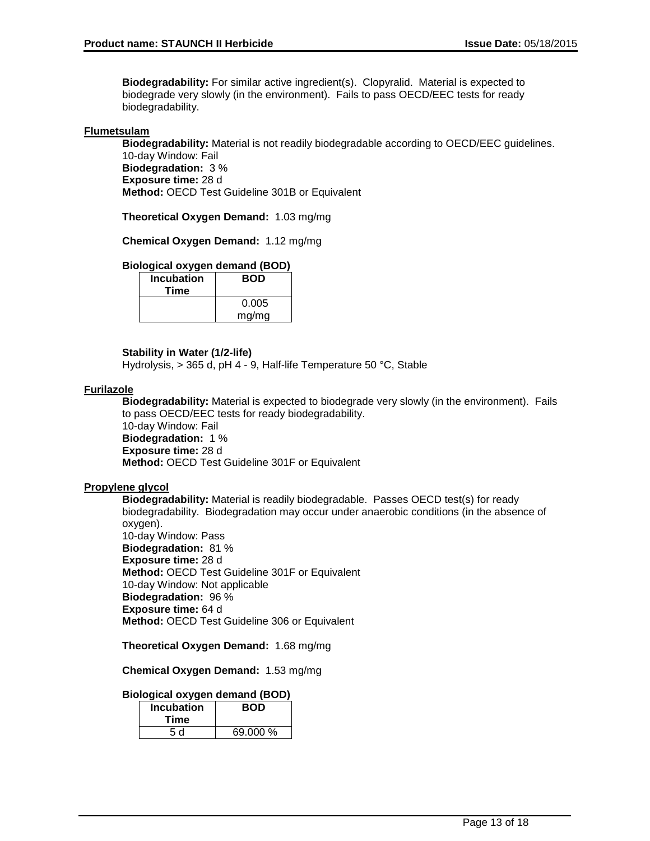**Biodegradability:** For similar active ingredient(s). Clopyralid. Material is expected to biodegrade very slowly (in the environment). Fails to pass OECD/EEC tests for ready biodegradability.

#### **Flumetsulam**

**Biodegradability:** Material is not readily biodegradable according to OECD/EEC guidelines. 10-day Window: Fail **Biodegradation:** 3 %

**Exposure time:** 28 d **Method:** OECD Test Guideline 301B or Equivalent

**Theoretical Oxygen Demand:** 1.03 mg/mg

**Chemical Oxygen Demand:** 1.12 mg/mg

#### **Biological oxygen demand (BOD)**

| <b>Incubation</b><br>Time | <b>BOD</b> |
|---------------------------|------------|
|                           | 0.005      |
|                           | mg/mg      |

#### **Stability in Water (1/2-life)**

Hydrolysis, > 365 d, pH 4 - 9, Half-life Temperature 50 °C, Stable

#### **Furilazole**

**Biodegradability:** Material is expected to biodegrade very slowly (in the environment). Fails to pass OECD/EEC tests for ready biodegradability.

10-day Window: Fail **Biodegradation:** 1 % **Exposure time:** 28 d **Method:** OECD Test Guideline 301F or Equivalent

#### **Propylene glycol**

**Biodegradability:** Material is readily biodegradable. Passes OECD test(s) for ready biodegradability. Biodegradation may occur under anaerobic conditions (in the absence of oxygen). 10-day Window: Pass **Biodegradation:** 81 % **Exposure time:** 28 d **Method:** OECD Test Guideline 301F or Equivalent 10-day Window: Not applicable **Biodegradation:** 96 % **Exposure time:** 64 d **Method:** OECD Test Guideline 306 or Equivalent

**Theoretical Oxygen Demand:** 1.68 mg/mg

**Chemical Oxygen Demand:** 1.53 mg/mg

#### **Biological oxygen demand (BOD)**

| <b>Incubation</b><br>Time | <b>BOD</b> |
|---------------------------|------------|
| 5 d                       | 69.000 %   |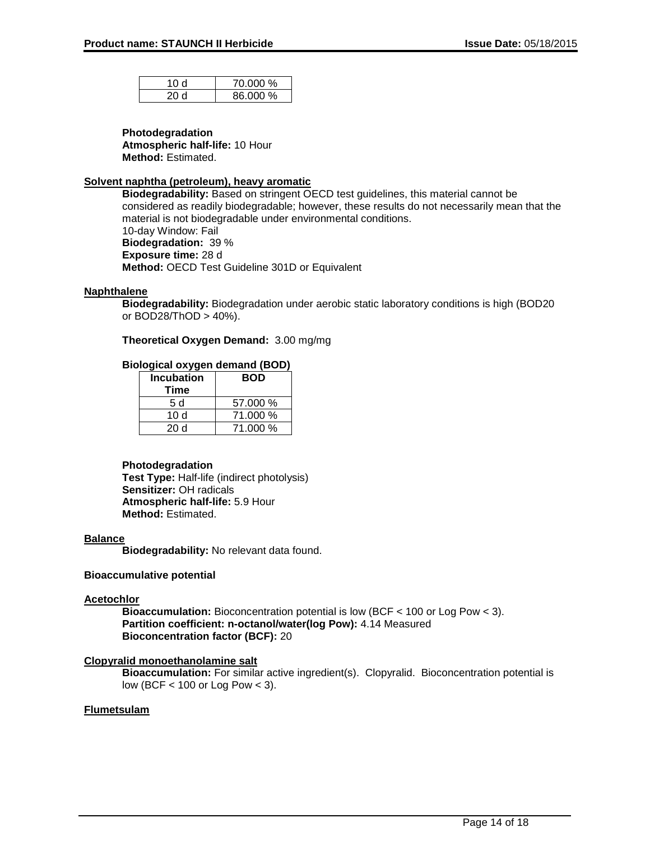| 10 d | 70.000 % |
|------|----------|
| 20 Y | 86.000 % |

#### **Photodegradation**

**Atmospheric half-life:** 10 Hour **Method:** Estimated.

#### **Solvent naphtha (petroleum), heavy aromatic**

**Biodegradability:** Based on stringent OECD test guidelines, this material cannot be considered as readily biodegradable; however, these results do not necessarily mean that the material is not biodegradable under environmental conditions. 10-day Window: Fail **Biodegradation:** 39 % **Exposure time:** 28 d **Method:** OECD Test Guideline 301D or Equivalent

### **Naphthalene**

**Biodegradability:** Biodegradation under aerobic static laboratory conditions is high (BOD20 or BOD28/ThOD > 40%).

**Theoretical Oxygen Demand:** 3.00 mg/mg

### **Biological oxygen demand (BOD)**

| <b>Incubation</b><br>Time | <b>BOD</b> |
|---------------------------|------------|
| 5 d                       | 57.000 %   |
| 10 d                      | 71.000 %   |
| 20d                       | 71.000 %   |

#### **Photodegradation**

**Test Type:** Half-life (indirect photolysis) **Sensitizer:** OH radicals **Atmospheric half-life:** 5.9 Hour **Method:** Estimated.

#### **Balance**

**Biodegradability:** No relevant data found.

#### **Bioaccumulative potential**

#### **Acetochlor**

**Bioaccumulation:** Bioconcentration potential is low (BCF < 100 or Log Pow < 3). **Partition coefficient: n-octanol/water(log Pow):** 4.14 Measured **Bioconcentration factor (BCF):** 20

### **Clopyralid monoethanolamine salt**

**Bioaccumulation:** For similar active ingredient(s). Clopyralid. Bioconcentration potential is low (BCF < 100 or Log Pow < 3).

### **Flumetsulam**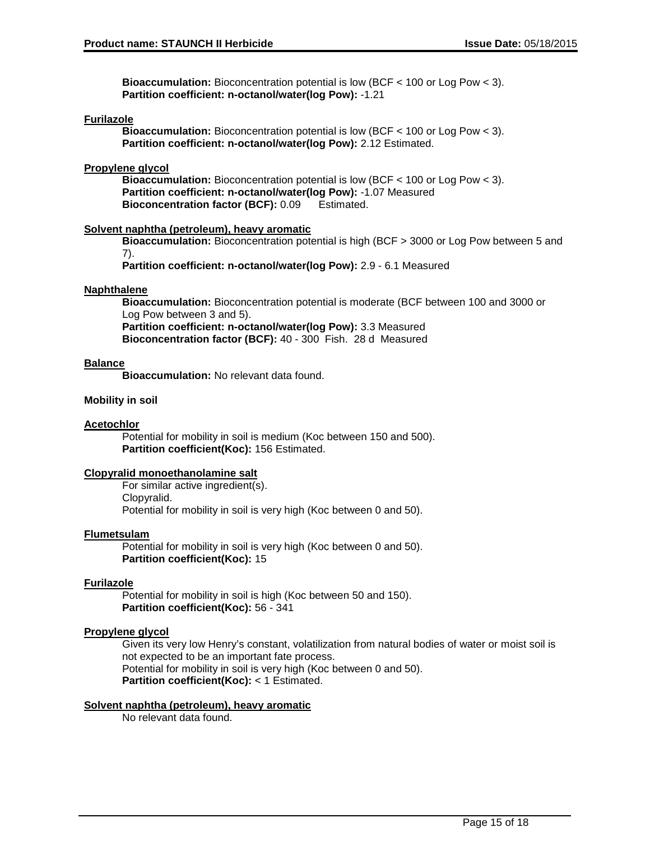**Bioaccumulation:** Bioconcentration potential is low (BCF < 100 or Log Pow < 3). **Partition coefficient: n-octanol/water(log Pow):** -1.21

#### **Furilazole**

**Bioaccumulation:** Bioconcentration potential is low (BCF < 100 or Log Pow < 3). **Partition coefficient: n-octanol/water(log Pow):** 2.12 Estimated.

#### **Propylene glycol**

**Bioaccumulation:** Bioconcentration potential is low (BCF < 100 or Log Pow < 3). **Partition coefficient: n-octanol/water(log Pow):** -1.07 Measured **Bioconcentration factor (BCF):** 0.09 Estimated.

#### **Solvent naphtha (petroleum), heavy aromatic**

**Bioaccumulation:** Bioconcentration potential is high (BCF > 3000 or Log Pow between 5 and 7).

**Partition coefficient: n-octanol/water(log Pow):** 2.9 - 6.1 Measured

### **Naphthalene**

**Bioaccumulation:** Bioconcentration potential is moderate (BCF between 100 and 3000 or Log Pow between 3 and 5). **Partition coefficient: n-octanol/water(log Pow):** 3.3 Measured

**Bioconcentration factor (BCF):** 40 - 300 Fish. 28 d Measured

### **Balance**

**Bioaccumulation:** No relevant data found.

### **Mobility in soil**

#### **Acetochlor**

Potential for mobility in soil is medium (Koc between 150 and 500). **Partition coefficient(Koc):** 156 Estimated.

#### **Clopyralid monoethanolamine salt**

For similar active ingredient(s). Clopyralid. Potential for mobility in soil is very high (Koc between 0 and 50).

#### **Flumetsulam**

Potential for mobility in soil is very high (Koc between 0 and 50). **Partition coefficient(Koc):** 15

### **Furilazole**

Potential for mobility in soil is high (Koc between 50 and 150). **Partition coefficient(Koc):** 56 - 341

#### **Propylene glycol**

Given its very low Henry's constant, volatilization from natural bodies of water or moist soil is not expected to be an important fate process. Potential for mobility in soil is very high (Koc between 0 and 50). **Partition coefficient(Koc):** < 1 Estimated.

#### **Solvent naphtha (petroleum), heavy aromatic**

No relevant data found.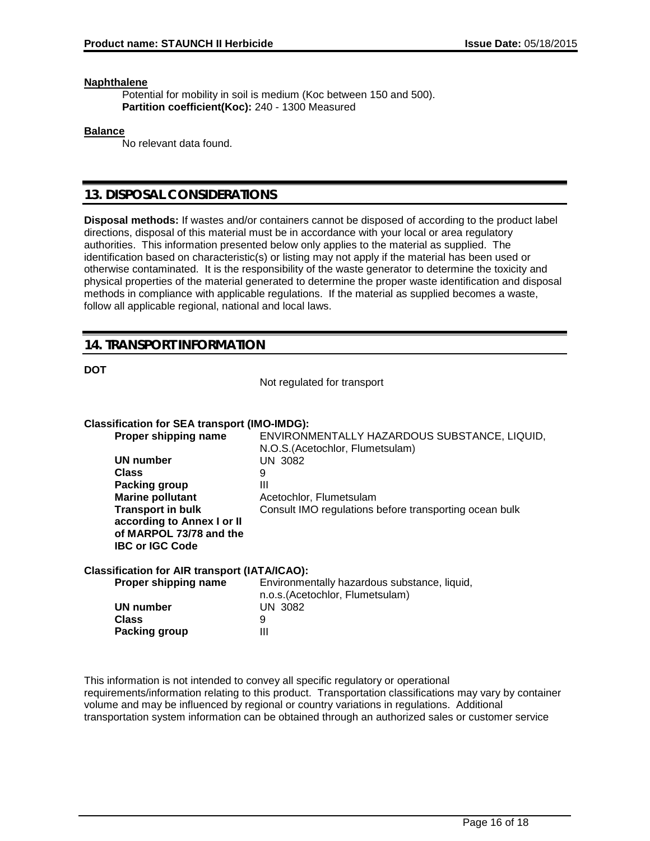#### **Naphthalene**

Potential for mobility in soil is medium (Koc between 150 and 500). **Partition coefficient(Koc):** 240 - 1300 Measured

#### **Balance**

No relevant data found.

### **13. DISPOSAL CONSIDERATIONS**

**Disposal methods:** If wastes and/or containers cannot be disposed of according to the product label directions, disposal of this material must be in accordance with your local or area regulatory authorities. This information presented below only applies to the material as supplied. The identification based on characteristic(s) or listing may not apply if the material has been used or otherwise contaminated. It is the responsibility of the waste generator to determine the toxicity and physical properties of the material generated to determine the proper waste identification and disposal methods in compliance with applicable regulations. If the material as supplied becomes a waste, follow all applicable regional, national and local laws.

# **14. TRANSPORT INFORMATION**

**DOT**

Not regulated for transport

#### **Classification for SEA transport (IMO-IMDG):**

| Proper shipping name       | ENVIRONMENTALLY HAZARDOUS SUBSTANCE, LIQUID,<br>N.O.S. (Acetochlor, Flumetsulam) |
|----------------------------|----------------------------------------------------------------------------------|
| UN number                  | UN 3082                                                                          |
| <b>Class</b>               | 9                                                                                |
| Packing group              | Ш                                                                                |
| <b>Marine pollutant</b>    | Acetochlor, Flumetsulam                                                          |
| <b>Transport in bulk</b>   | Consult IMO regulations before transporting ocean bulk                           |
| according to Annex I or II |                                                                                  |
| of MARPOL 73/78 and the    |                                                                                  |
| <b>IBC or IGC Code</b>     |                                                                                  |
|                            |                                                                                  |

#### **Classification for AIR transport (IATA/ICAO):**

| Proper shipping name | Environmentally hazardous substance, liquid, |  |
|----------------------|----------------------------------------------|--|
|                      | n.o.s. (Acetochlor, Flumetsulam)             |  |
| UN number            | UN 3082                                      |  |
| <b>Class</b>         |                                              |  |
| Packing group        | Ш                                            |  |

This information is not intended to convey all specific regulatory or operational requirements/information relating to this product. Transportation classifications may vary by container volume and may be influenced by regional or country variations in regulations. Additional transportation system information can be obtained through an authorized sales or customer service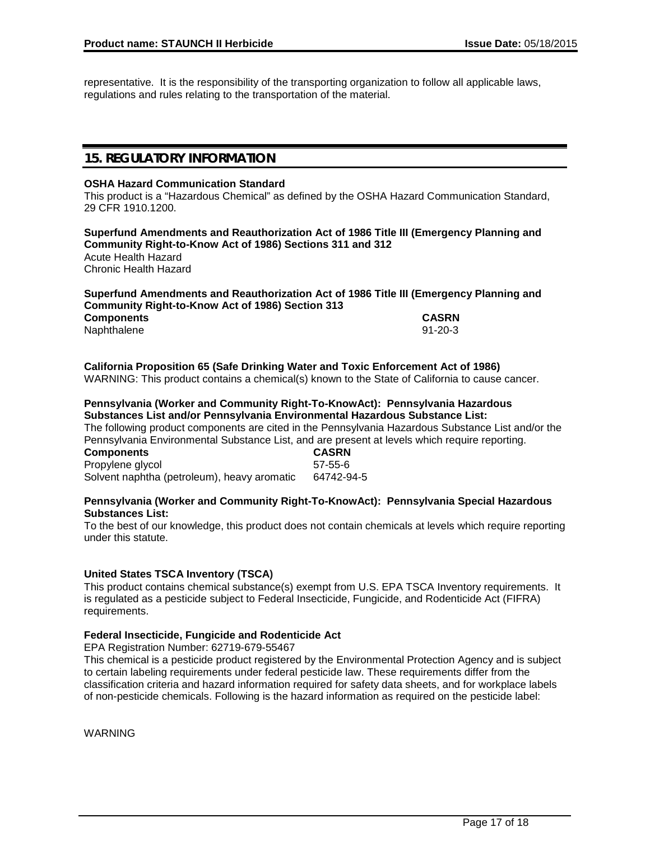representative. It is the responsibility of the transporting organization to follow all applicable laws, regulations and rules relating to the transportation of the material.

# **15. REGULATORY INFORMATION**

#### **OSHA Hazard Communication Standard**

This product is a "Hazardous Chemical" as defined by the OSHA Hazard Communication Standard, 29 CFR 1910.1200.

**Superfund Amendments and Reauthorization Act of 1986 Title III (Emergency Planning and Community Right-to-Know Act of 1986) Sections 311 and 312** Acute Health Hazard Chronic Health Hazard

#### **Superfund Amendments and Reauthorization Act of 1986 Title III (Emergency Planning and Community Right-to-Know Act of 1986) Section 313 Components CASRN** Naphthalene

# **California Proposition 65 (Safe Drinking Water and Toxic Enforcement Act of 1986)**

WARNING: This product contains a chemical(s) known to the State of California to cause cancer.

### **Pennsylvania (Worker and Community Right-To-KnowAct): Pennsylvania Hazardous Substances List and/or Pennsylvania Environmental Hazardous Substance List:**

The following product components are cited in the Pennsylvania Hazardous Substance List and/or the Pennsylvania Environmental Substance List, and are present at levels which require reporting.<br> **CASRN** 

**Components** Propylene glycol 57-55-6 Solvent naphtha (petroleum), heavy aromatic 64742-94-5

#### **Pennsylvania (Worker and Community Right-To-KnowAct): Pennsylvania Special Hazardous Substances List:**

To the best of our knowledge, this product does not contain chemicals at levels which require reporting under this statute.

### **United States TSCA Inventory (TSCA)**

This product contains chemical substance(s) exempt from U.S. EPA TSCA Inventory requirements. It is regulated as a pesticide subject to Federal Insecticide, Fungicide, and Rodenticide Act (FIFRA) requirements.

#### **Federal Insecticide, Fungicide and Rodenticide Act**

EPA Registration Number: 62719-679-55467

This chemical is a pesticide product registered by the Environmental Protection Agency and is subject to certain labeling requirements under federal pesticide law. These requirements differ from the classification criteria and hazard information required for safety data sheets, and for workplace labels of non-pesticide chemicals. Following is the hazard information as required on the pesticide label:

**WARNING**